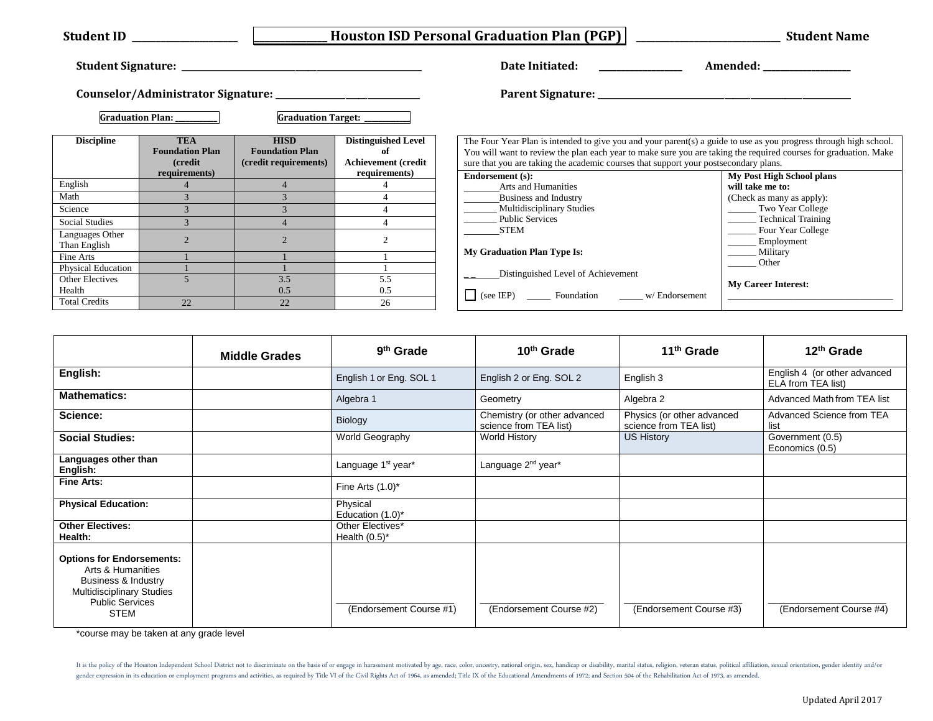| <b>Student ID</b>               |                                                         |                                                                | <b>Houston ISD Personal Graduation Plan (PGP)</b>               |                                                                                                                                                                                                                                                                                                                               | <b>Student Name</b>                               |  |
|---------------------------------|---------------------------------------------------------|----------------------------------------------------------------|-----------------------------------------------------------------|-------------------------------------------------------------------------------------------------------------------------------------------------------------------------------------------------------------------------------------------------------------------------------------------------------------------------------|---------------------------------------------------|--|
|                                 |                                                         |                                                                |                                                                 | Date Initiated:                                                                                                                                                                                                                                                                                                               | Amended:                                          |  |
|                                 |                                                         |                                                                |                                                                 |                                                                                                                                                                                                                                                                                                                               |                                                   |  |
|                                 | Graduation Plan: ________                               | <b>Graduation Target:</b>                                      |                                                                 |                                                                                                                                                                                                                                                                                                                               |                                                   |  |
| <b>Discipline</b>               | <b>TEA</b><br><b>Foundation Plan</b><br><i>(credit)</i> | <b>HISD</b><br><b>Foundation Plan</b><br>(credit requirements) | <b>Distinguished Level</b><br>of<br><b>Achievement (credit)</b> | The Four Year Plan is intended to give you and your parent(s) a guide to use as you progress through high school.<br>You will want to review the plan each year to make sure you are taking the required courses for graduation. Make<br>sure that you are taking the academic courses that support your postsecondary plans. |                                                   |  |
| English                         | requirements)<br>$\overline{4}$                         |                                                                | requirements)<br>$\overline{4}$                                 | <b>Endorsement</b> (s):                                                                                                                                                                                                                                                                                                       | My Post High School plans                         |  |
| Math                            |                                                         |                                                                |                                                                 | <b>Arts and Humanities</b><br><b>Business and Industry</b>                                                                                                                                                                                                                                                                    | will take me to:                                  |  |
| Science                         |                                                         |                                                                |                                                                 | <b>Multidisciplinary Studies</b>                                                                                                                                                                                                                                                                                              | (Check as many as apply):<br>Two Year College     |  |
| <b>Social Studies</b>           |                                                         |                                                                |                                                                 | <b>Public Services</b>                                                                                                                                                                                                                                                                                                        | Technical Training                                |  |
| Languages Other<br>Than English |                                                         |                                                                |                                                                 | <b>STEM</b>                                                                                                                                                                                                                                                                                                                   | _______ Four Year College<br>_________ Employment |  |
| Fine Arts                       |                                                         |                                                                |                                                                 | <b>My Graduation Plan Type Is:</b>                                                                                                                                                                                                                                                                                            | Military                                          |  |
| <b>Physical Education</b>       |                                                         |                                                                |                                                                 |                                                                                                                                                                                                                                                                                                                               | <b>Other</b>                                      |  |
| Other Electives<br>Health       |                                                         | 3.5<br>0.5                                                     | 5.5<br>0.5                                                      | Distinguished Level of Achievement<br>(see IEP) ________ Foundation ___________ w/ Endorsement                                                                                                                                                                                                                                | <b>My Career Interest:</b>                        |  |
| <b>Total Credits</b>            | 22                                                      | 22                                                             | 26                                                              |                                                                                                                                                                                                                                                                                                                               |                                                   |  |

|                                                                                                                                                           | <b>Middle Grades</b> | 9 <sup>th</sup> Grade                | 10 <sup>th</sup> Grade                                 | 11 <sup>th</sup> Grade                               | 12 <sup>th</sup> Grade                             |
|-----------------------------------------------------------------------------------------------------------------------------------------------------------|----------------------|--------------------------------------|--------------------------------------------------------|------------------------------------------------------|----------------------------------------------------|
| English:                                                                                                                                                  |                      | English 1 or Eng. SOL 1              | English 2 or Eng. SOL 2                                | English 3                                            | English 4 (or other advanced<br>ELA from TEA list) |
| <b>Mathematics:</b>                                                                                                                                       |                      | Algebra 1                            | Geometry                                               | Algebra 2                                            | Advanced Math from TEA list                        |
| Science:                                                                                                                                                  |                      | Biology                              | Chemistry (or other advanced<br>science from TEA list) | Physics (or other advanced<br>science from TEA list) | Advanced Science from TEA<br>list                  |
| <b>Social Studies:</b>                                                                                                                                    |                      | World Geography                      | <b>World History</b>                                   | US History                                           | Government (0.5)<br>Economics (0.5)                |
| Languages other than<br>English:                                                                                                                          |                      | Language 1 <sup>st</sup> year*       | Language 2 <sup>nd</sup> year*                         |                                                      |                                                    |
| <b>Fine Arts:</b>                                                                                                                                         |                      | Fine Arts $(1.0)^*$                  |                                                        |                                                      |                                                    |
| <b>Physical Education:</b>                                                                                                                                |                      | Physical<br>Education $(1.0)^*$      |                                                        |                                                      |                                                    |
| <b>Other Electives:</b><br>Health:                                                                                                                        |                      | Other Electives*<br>Health $(0.5)^*$ |                                                        |                                                      |                                                    |
| <b>Options for Endorsements:</b><br>Arts & Humanities<br>Business & Industry<br><b>Multidisciplinary Studies</b><br><b>Public Services</b><br><b>STEM</b> |                      | (Endorsement Course #1)              | (Endorsement Course #2)                                | (Endorsement Course #3)                              | (Endorsement Course #4)                            |

\*course may be taken at any grade level **\*course may be taken at any** 

It is the policy of the Houston Independent School District not to discriminate on the basis of or engage in harassment motivated by age, race, color, ancestry, national origin, sex, handicap or disability, marital status, gender expression in its education or employment programs and activities, as required by Title VI of the Civil Rights Act of 1964, as amended; Title IX of the Educational Amendments of 1972; and Section 504 of the Rehabili